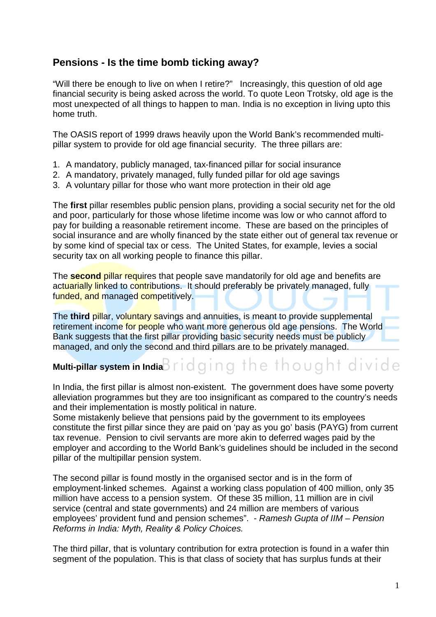# **Pensions - Is the time bomb ticking away?**

"Will there be enough to live on when I retire?" Increasingly, this question of old age financial security is being asked across the world. To quote Leon Trotsky, old age is the most unexpected of all things to happen to man. India is no exception in living upto this home truth.

The OASIS report of 1999 draws heavily upon the World Bank's recommended multipillar system to provide for old age financial security. The three pillars are:

- 1. A mandatory, publicly managed, tax-financed pillar for social insurance
- 2. A mandatory, privately managed, fully funded pillar for old age savings
- 3. A voluntary pillar for those who want more protection in their old age

The **first** pillar resembles public pension plans, providing a social security net for the old and poor, particularly for those whose lifetime income was low or who cannot afford to pay for building a reasonable retirement income. These are based on the principles of social insurance and are wholly financed by the state either out of general tax revenue or by some kind of special tax or cess. The United States, for example, levies a social security tax on all working people to finance this pillar.

The **second** pillar requires that people save mandatorily for old age and benefits are actuarially linked to contributions. It should preferably be privately managed, fully funded, and managed competitively.

The **third** pillar, voluntary savings and annuities, is meant to provide supplemental retirement income for people who want more generous old age pensions. The World Bank suggests that the first pillar providing basic security needs must be publicly managed, and only the second and third pillars are to be privately managed.

**Multi-pillar system in India Bridging the thought divide** 

In India, the first pillar is almost non-existent. The government does have some poverty alleviation programmes but they are too insignificant as compared to the country's needs and their implementation is mostly political in nature.

Some mistakenly believe that pensions paid by the government to its employees constitute the first pillar since they are paid on 'pay as you go' basis (PAYG) from current tax revenue. Pension to civil servants are more akin to deferred wages paid by the employer and according to the World Bank's guidelines should be included in the second pillar of the multipillar pension system.

The second pillar is found mostly in the organised sector and is in the form of employment-linked schemes. Against a working class population of 400 million, only 35 million have access to a pension system. Of these 35 million, 11 million are in civil service (central and state governments) and 24 million are members of various employees' provident fund and pension schemes". - Ramesh Gupta of IIM – Pension Reforms in India: Myth, Reality & Policy Choices.

The third pillar, that is voluntary contribution for extra protection is found in a wafer thin segment of the population. This is that class of society that has surplus funds at their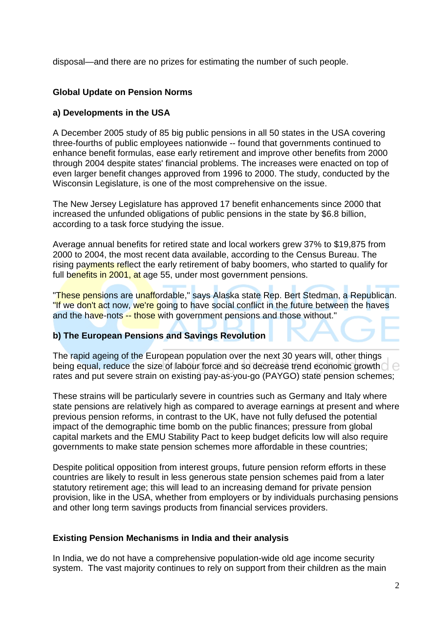disposal—and there are no prizes for estimating the number of such people.

## **Global Update on Pension Norms**

### **a) Developments in the USA**

A December 2005 study of 85 big public pensions in all 50 states in the USA covering three-fourths of public employees nationwide -- found that governments continued to enhance benefit formulas, ease early retirement and improve other benefits from 2000 through 2004 despite states' financial problems. The increases were enacted on top of even larger benefit changes approved from 1996 to 2000. The study, conducted by the Wisconsin Legislature, is one of the most comprehensive on the issue.

The New Jersey Legislature has approved 17 benefit enhancements since 2000 that increased the unfunded obligations of public pensions in the state by \$6.8 billion, according to a task force studying the issue.

Average annual benefits for retired state and local workers grew 37% to \$19,875 from 2000 to 2004, the most recent data available, according to the Census Bureau. The rising payments reflect the early retirement of baby boomers, who started to qualify for full benefits in 2001, at age 55, under most government pensions.

"These pensions are unaffordable," says Alaska state Rep. Bert Stedman, a Republican. "If we don't act now, we're going to have social conflict in the future between the haves and the have-nots -- those with government pensions and those without."

#### **b) The European Pensions and Savings Revolution**

The rapid ageing of the European population over the next 30 years will, other things being equal, reduce the size of labour force and so decrease trend economic growth  $\Box \ominus$ rates and put severe strain on existing pay-as-you-go (PAYGO) state pension schemes;

These strains will be particularly severe in countries such as Germany and Italy where state pensions are relatively high as compared to average earnings at present and where previous pension reforms, in contrast to the UK, have not fully defused the potential impact of the demographic time bomb on the public finances; pressure from global capital markets and the EMU Stability Pact to keep budget deficits low will also require governments to make state pension schemes more affordable in these countries;

Despite political opposition from interest groups, future pension reform efforts in these countries are likely to result in less generous state pension schemes paid from a later statutory retirement age; this will lead to an increasing demand for private pension provision, like in the USA, whether from employers or by individuals purchasing pensions and other long term savings products from financial services providers.

#### **Existing Pension Mechanisms in India and their analysis**

In India, we do not have a comprehensive population-wide old age income security system. The vast majority continues to rely on support from their children as the main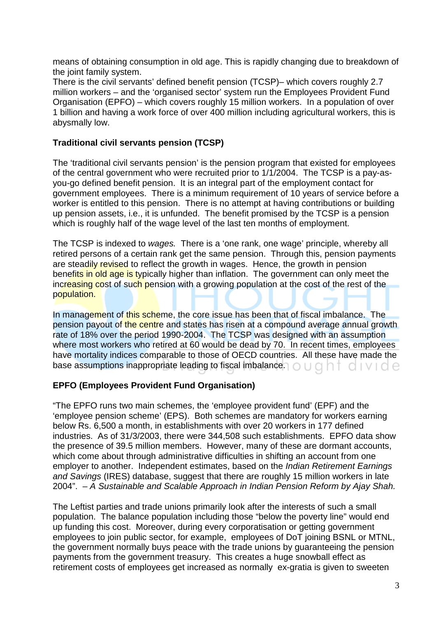means of obtaining consumption in old age. This is rapidly changing due to breakdown of the joint family system.

There is the civil servants' defined benefit pension (TCSP)– which covers roughly 2.7 million workers – and the 'organised sector' system run the Employees Provident Fund Organisation (EPFO) – which covers roughly 15 million workers. In a population of over 1 billion and having a work force of over 400 million including agricultural workers, this is abysmally low.

#### **Traditional civil servants pension (TCSP)**

The 'traditional civil servants pension' is the pension program that existed for employees of the central government who were recruited prior to 1/1/2004. The TCSP is a pay-asyou-go defined benefit pension. It is an integral part of the employment contact for government employees. There is a minimum requirement of 10 years of service before a worker is entitled to this pension. There is no attempt at having contributions or building up pension assets, i.e., it is unfunded. The benefit promised by the TCSP is a pension which is roughly half of the wage level of the last ten months of employment.

The TCSP is indexed to wages. There is a 'one rank, one wage' principle, whereby all retired persons of a certain rank get the same pension. Through this, pension payments are steadily revised to reflect the growth in wages. Hence, the growth in pension benefits in old age is typically higher than inflation. The government can only meet the increasing cost of such pension with a growing population at the cost of the rest of the population.

In management of this scheme, the core issue has been that of fiscal imbalance. The pension payout of the centre and states has risen at a compound average annual growth rate of 18% over the period 1990-2004. The TCSP was designed with an assumption where most workers who retired at 60 would be dead by 70. In recent times, employees have mortality indices comparable to those of OECD countries.All these have made the base assumptions inappropriate leading to fiscal imbalance.  $\bigcirc \cup \bigcirc \bigcap \bigcirc \cup \bigcirc \bigwedge$ 

#### **EPFO (Employees Provident Fund Organisation)**

"The EPFO runs two main schemes, the 'employee provident fund' (EPF) and the 'employee pension scheme' (EPS). Both schemes are mandatory for workers earning below Rs. 6,500 a month, in establishments with over 20 workers in 177 defined industries. As of 31/3/2003, there were 344,508 such establishments. EPFO data show the presence of 39.5 million members. However, many of these are dormant accounts, which come about through administrative difficulties in shifting an account from one employer to another. Independent estimates, based on the *Indian Retirement Earnings* and Savings (IRES) database, suggest that there are roughly 15 million workers in late 2004". – A Sustainable and Scalable Approach in Indian Pension Reform by Ajay Shah.

The Leftist parties and trade unions primarily look after the interests of such a small population. The balance population including those "below the poverty line" would end up funding this cost. Moreover, during every corporatisation or getting government employees to join public sector, for example, employees of DoT joining BSNL or MTNL, the government normally buys peace with the trade unions by guaranteeing the pension payments from the government treasury. This creates a huge snowball effect as retirement costs of employees get increased as normally ex-gratia is given to sweeten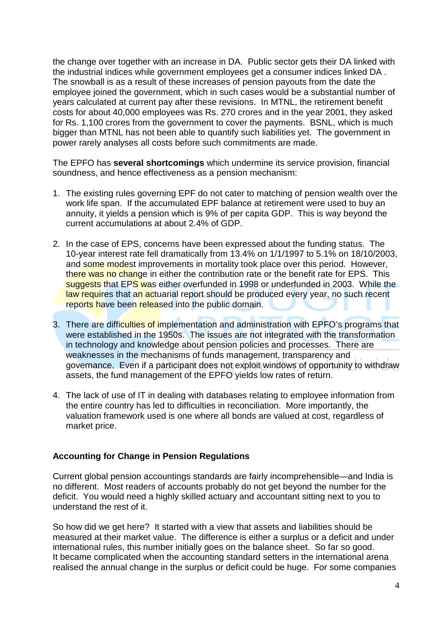the change over together with an increase in DA. Public sector gets their DA linked with the industrial indices while government employees get a consumer indices linked DA . The snowball is as a result of these increases of pension payouts from the date the employee joined the government, which in such cases would be a substantial number of years calculated at current pay after these revisions. In MTNL, the retirement benefit costs for about 40,000 employees was Rs. 270 crores and in the year 2001, they asked for Rs. 1,100 crores from the government to cover the payments. BSNL, which is much bigger than MTNL has not been able to quantify such liabilities yet. The government in power rarely analyses all costs before such commitments are made.

The EPFO has **several shortcomings** which undermine its service provision, financial soundness, and hence effectiveness as a pension mechanism:

- 1. The existing rules governing EPF do not cater to matching of pension wealth over the work life span. If the accumulated EPF balance at retirement were used to buy an annuity, it yields a pension which is 9% of per capita GDP. This is way beyond the current accumulations at about 2.4% of GDP.
- 2. In the case of EPS, concerns have been expressed about the funding status. The 10-year interest rate fell dramatically from 13.4% on 1/1/1997 to 5.1% on 18/10/2003, and some modest improvements in mortality took place over this period. However, there was no change in either the contribution rate or the benefit rate for EPS. This suggests that EPS was either overfunded in 1998 or underfunded in 2003. While the law requires that an actuarial report should be produced every year, no such recent reports have been released into the public domain.
- 3. There are difficulties of implementation and administration with EPFO's programs that were established in the 1950s. The issues are not integrated with the transformation in technology and knowledge about pension policies and processes. There are weaknesses in the mechanisms of funds management, transparency and governance. Even if a participant does not exploit windows of opportunity to withdraw assets, the fund management of the EPFO yields low rates of return.
- 4. The lack of use of IT in dealing with databases relating to employee information from the entire country has led to difficulties in reconciliation. More importantly, the valuation framework used is one where all bonds are valued at cost, regardless of market price.

#### **Accounting for Change in Pension Regulations**

Current global pension accountings standards are fairly incomprehensible—and India is no different. Most readers of accounts probably do not get beyond the number for the deficit. You would need a highly skilled actuary and accountant sitting next to you to understand the rest of it.

So how did we get here? It started with a view that assets and liabilities should be measured at their market value. The difference is either a surplus or a deficit and under international rules, this number initially goes on the balance sheet. So far so good. It became complicated when the accounting standard setters in the international arena realised the annual change in the surplus or deficit could be huge. For some companies